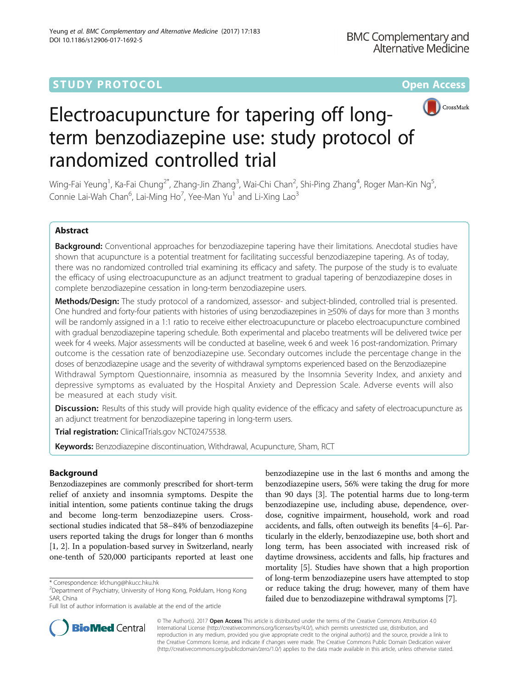# **STUDY PROTOCOL CONSUMING THE RESERVE ACCESS**



# Electroacupuncture for tapering off longterm benzodiazepine use: study protocol of randomized controlled trial

Wing-Fai Yeung<sup>1</sup>, Ka-Fai Chung<sup>2\*</sup>, Zhang-Jin Zhang<sup>3</sup>, Wai-Chi Chan<sup>2</sup>, Shi-Ping Zhang<sup>4</sup>, Roger Man-Kin Ng<sup>5</sup> , Connie Lai-Wah Chan<sup>6</sup>, Lai-Ming Ho<sup>7</sup>, Yee-Man Yu<sup>1</sup> and Li-Xing Lao<sup>3</sup>

# Abstract

Background: Conventional approaches for benzodiazepine tapering have their limitations. Anecdotal studies have shown that acupuncture is a potential treatment for facilitating successful benzodiazepine tapering. As of today, there was no randomized controlled trial examining its efficacy and safety. The purpose of the study is to evaluate the efficacy of using electroacupuncture as an adjunct treatment to gradual tapering of benzodiazepine doses in complete benzodiazepine cessation in long-term benzodiazepine users.

Methods/Design: The study protocol of a randomized, assessor- and subject-blinded, controlled trial is presented. One hundred and forty-four patients with histories of using benzodiazepines in ≥50% of days for more than 3 months will be randomly assigned in a 1:1 ratio to receive either electroacupuncture or placebo electroacupuncture combined with gradual benzodiazepine tapering schedule. Both experimental and placebo treatments will be delivered twice per week for 4 weeks. Major assessments will be conducted at baseline, week 6 and week 16 post-randomization. Primary outcome is the cessation rate of benzodiazepine use. Secondary outcomes include the percentage change in the doses of benzodiazepine usage and the severity of withdrawal symptoms experienced based on the Benzodiazepine Withdrawal Symptom Questionnaire, insomnia as measured by the Insomnia Severity Index, and anxiety and depressive symptoms as evaluated by the Hospital Anxiety and Depression Scale. Adverse events will also be measured at each study visit.

**Discussion:** Results of this study will provide high quality evidence of the efficacy and safety of electroacupuncture as an adjunct treatment for benzodiazepine tapering in long-term users.

Trial registration: [ClinicalTrials.gov](http://clinicaltrials.gov) [NCT02475538](https://clinicaltrials.gov/ct2/show/NCT02475538?term=NCT02475538&rank=1).

Keywords: Benzodiazepine discontinuation, Withdrawal, Acupuncture, Sham, RCT

## Background

Benzodiazepines are commonly prescribed for short-term relief of anxiety and insomnia symptoms. Despite the initial intention, some patients continue taking the drugs and become long-term benzodiazepine users. Crosssectional studies indicated that 58–84% of benzodiazepine users reported taking the drugs for longer than 6 months [[1, 2\]](#page-7-0). In a population-based survey in Switzerland, nearly one-tenth of 520,000 participants reported at least one

benzodiazepine use in the last 6 months and among the benzodiazepine users, 56% were taking the drug for more than 90 days [\[3](#page-7-0)]. The potential harms due to long-term benzodiazepine use, including abuse, dependence, overdose, cognitive impairment, household, work and road accidents, and falls, often outweigh its benefits [\[4](#page-7-0)–[6\]](#page-7-0). Particularly in the elderly, benzodiazepine use, both short and long term, has been associated with increased risk of daytime drowsiness, accidents and falls, hip fractures and mortality [\[5\]](#page-7-0). Studies have shown that a high proportion of long-term benzodiazepine users have attempted to stop or reduce taking the drug; however, many of them have failed due to benzodiazepine withdrawal symptoms [[7](#page-8-0)].



© The Author(s). 2017 **Open Access** This article is distributed under the terms of the Creative Commons Attribution 4.0 International License [\(http://creativecommons.org/licenses/by/4.0/](http://creativecommons.org/licenses/by/4.0/)), which permits unrestricted use, distribution, and reproduction in any medium, provided you give appropriate credit to the original author(s) and the source, provide a link to the Creative Commons license, and indicate if changes were made. The Creative Commons Public Domain Dedication waiver [\(http://creativecommons.org/publicdomain/zero/1.0/](http://creativecommons.org/publicdomain/zero/1.0/)) applies to the data made available in this article, unless otherwise stated.

<sup>\*</sup> Correspondence: [kfchung@hkucc.hku.hk](mailto:kfchung@hkucc.hku.hk) <sup>2</sup>

 $2$ Department of Psychiatry, University of Hong Kong, Pokfulam, Hong Kong SAR, China

Full list of author information is available at the end of the article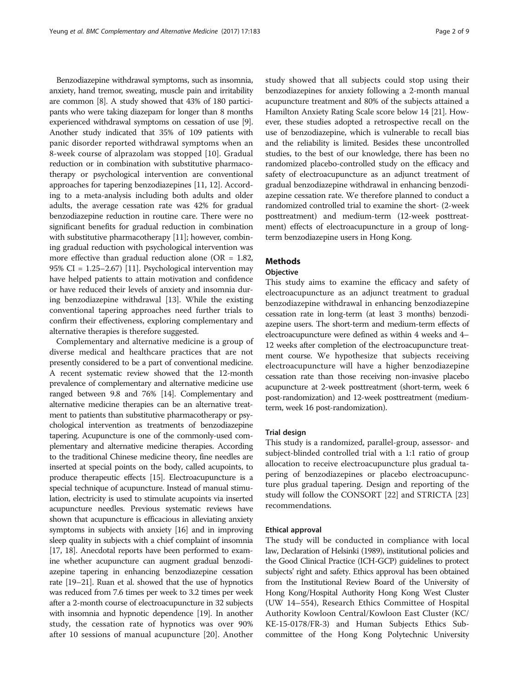Benzodiazepine withdrawal symptoms, such as insomnia, anxiety, hand tremor, sweating, muscle pain and irritability are common [\[8\]](#page-8-0). A study showed that 43% of 180 participants who were taking diazepam for longer than 8 months experienced withdrawal symptoms on cessation of use [[9](#page-8-0)]. Another study indicated that 35% of 109 patients with panic disorder reported withdrawal symptoms when an 8-week course of alprazolam was stopped [\[10](#page-8-0)]. Gradual reduction or in combination with substitutive pharmacotherapy or psychological intervention are conventional approaches for tapering benzodiazepines [[11](#page-8-0), [12\]](#page-8-0). According to a meta-analysis including both adults and older adults, the average cessation rate was 42% for gradual benzodiazepine reduction in routine care. There were no significant benefits for gradual reduction in combination with substitutive pharmacotherapy [\[11\]](#page-8-0); however, combining gradual reduction with psychological intervention was more effective than gradual reduction alone ( $OR = 1.82$ , 95% CI = 1.25–2.67) [[11](#page-8-0)]. Psychological intervention may have helped patients to attain motivation and confidence or have reduced their levels of anxiety and insomnia during benzodiazepine withdrawal [\[13\]](#page-8-0). While the existing conventional tapering approaches need further trials to confirm their effectiveness, exploring complementary and alternative therapies is therefore suggested.

Complementary and alternative medicine is a group of diverse medical and healthcare practices that are not presently considered to be a part of conventional medicine. A recent systematic review showed that the 12-month prevalence of complementary and alternative medicine use ranged between 9.8 and 76% [\[14](#page-8-0)]. Complementary and alternative medicine therapies can be an alternative treatment to patients than substitutive pharmacotherapy or psychological intervention as treatments of benzodiazepine tapering. Acupuncture is one of the commonly-used complementary and alternative medicine therapies. According to the traditional Chinese medicine theory, fine needles are inserted at special points on the body, called acupoints, to produce therapeutic effects [\[15](#page-8-0)]. Electroacupuncture is a special technique of acupuncture. Instead of manual stimulation, electricity is used to stimulate acupoints via inserted acupuncture needles. Previous systematic reviews have shown that acupuncture is efficacious in alleviating anxiety symptoms in subjects with anxiety [[16](#page-8-0)] and in improving sleep quality in subjects with a chief complaint of insomnia [[17](#page-8-0), [18\]](#page-8-0). Anecdotal reports have been performed to examine whether acupuncture can augment gradual benzodiazepine tapering in enhancing benzodiazepine cessation rate [\[19](#page-8-0)–[21\]](#page-8-0). Ruan et al. showed that the use of hypnotics was reduced from 7.6 times per week to 3.2 times per week after a 2-month course of electroacupuncture in 32 subjects with insomnia and hypnotic dependence [\[19](#page-8-0)]. In another study, the cessation rate of hypnotics was over 90% after 10 sessions of manual acupuncture [[20\]](#page-8-0). Another study showed that all subjects could stop using their benzodiazepines for anxiety following a 2-month manual acupuncture treatment and 80% of the subjects attained a Hamilton Anxiety Rating Scale score below 14 [21]. However, these studies adopted a retrospective recall on the use of benzodiazepine, which is vulnerable to recall bias and the reliability is limited. Besides these uncontrolled studies, to the best of our knowledge, there has been no randomized placebo-controlled study on the efficacy and safety of electroacupuncture as an adjunct treatment of gradual benzodiazepine withdrawal in enhancing benzodiazepine cessation rate. We therefore planned to conduct a randomized controlled trial to examine the short- (2-week posttreatment) and medium-term (12-week posttreatment) effects of electroacupuncture in a group of longterm benzodiazepine users in Hong Kong.

### Methods

#### **Objective**

This study aims to examine the efficacy and safety of electroacupuncture as an adjunct treatment to gradual benzodiazepine withdrawal in enhancing benzodiazepine cessation rate in long-term (at least 3 months) benzodiazepine users. The short-term and medium-term effects of electroacupuncture were defined as within 4 weeks and 4– 12 weeks after completion of the electroacupuncture treatment course. We hypothesize that subjects receiving electroacupuncture will have a higher benzodiazepine cessation rate than those receiving non-invasive placebo acupuncture at 2-week posttreatment (short-term, week 6 post-randomization) and 12-week posttreatment (mediumterm, week 16 post-randomization).

#### Trial design

This study is a randomized, parallel-group, assessor- and subject-blinded controlled trial with a 1:1 ratio of group allocation to receive electroacupuncture plus gradual tapering of benzodiazepines or placebo electroacupuncture plus gradual tapering. Design and reporting of the study will follow the CONSORT [[22](#page-8-0)] and STRICTA [[23](#page-8-0)] recommendations.

#### Ethical approval

The study will be conducted in compliance with local law, Declaration of Helsinki (1989), institutional policies and the Good Clinical Practice (ICH-GCP) guidelines to protect subjects' right and safety. Ethics approval has been obtained from the Institutional Review Board of the University of Hong Kong/Hospital Authority Hong Kong West Cluster (UW 14–554), Research Ethics Committee of Hospital Authority Kowloon Central/Kowloon East Cluster (KC/ KE-15-0178/FR-3) and Human Subjects Ethics Subcommittee of the Hong Kong Polytechnic University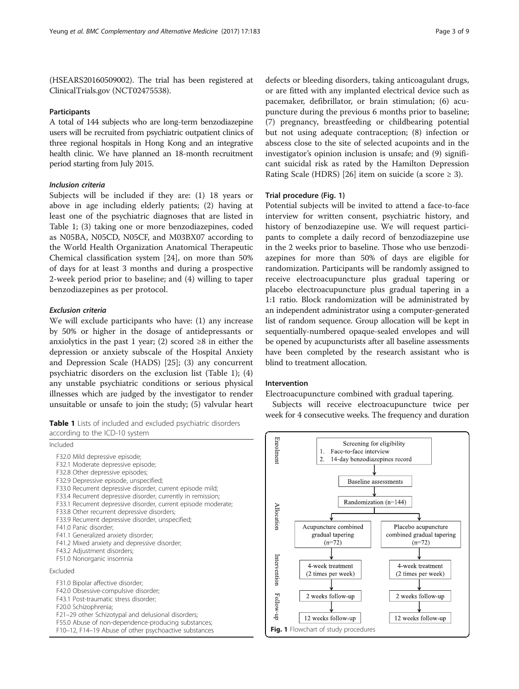(HSEARS20160509002). The trial has been registered at [ClinicalTrials.gov](http://clinicaltrials.gov) (NCT02475538).

#### Participants

A total of 144 subjects who are long-term benzodiazepine users will be recruited from psychiatric outpatient clinics of three regional hospitals in Hong Kong and an integrative health clinic. We have planned an 18-month recruitment period starting from July 2015.

#### Inclusion criteria

Subjects will be included if they are: (1) 18 years or above in age including elderly patients; (2) having at least one of the psychiatric diagnoses that are listed in Table 1; (3) taking one or more benzodiazepines, coded as N05BA, N05CD, N05CF, and M03BX07 according to the World Health Organization Anatomical Therapeutic Chemical classification system [\[24\]](#page-8-0), on more than 50% of days for at least 3 months and during a prospective 2-week period prior to baseline; and (4) willing to taper benzodiazepines as per protocol.

#### Exclusion criteria

We will exclude participants who have: (1) any increase by 50% or higher in the dosage of antidepressants or anxiolytics in the past 1 year; (2) scored  $\geq 8$  in either the depression or anxiety subscale of the Hospital Anxiety and Depression Scale (HADS) [[25\]](#page-8-0); (3) any concurrent psychiatric disorders on the exclusion list (Table 1); (4) any unstable psychiatric conditions or serious physical illnesses which are judged by the investigator to render unsuitable or unsafe to join the study; (5) valvular heart

|                                | <b>Table 1</b> Lists of included and excluded psychiatric disorders |  |
|--------------------------------|---------------------------------------------------------------------|--|
| according to the ICD-10 system |                                                                     |  |

| Included                                                                                                                                                                                                                                                                                                                                                                                                                                                                                                                                                                                                                           |
|------------------------------------------------------------------------------------------------------------------------------------------------------------------------------------------------------------------------------------------------------------------------------------------------------------------------------------------------------------------------------------------------------------------------------------------------------------------------------------------------------------------------------------------------------------------------------------------------------------------------------------|
| F32.0 Mild depressive episode;<br>F32.1 Moderate depressive episode;<br>F32.8 Other depressive episodes;<br>F32.9 Depressive episode, unspecified;<br>F33.0 Recurrent depressive disorder, current episode mild;<br>F33.4 Recurrent depressive disorder, currently in remission;<br>F33.1 Recurrent depressive disorder, current episode moderate;<br>F33.8 Other recurrent depressive disorders;<br>F33.9 Recurrent depressive disorder, unspecified;<br>F41.0 Panic disorder:<br>F41.1 Generalized anxiety disorder;<br>F41.2 Mixed anxiety and depressive disorder;<br>F43.2 Adjustment disorders;<br>F51.0 Nonorganic insomnia |
| Excluded                                                                                                                                                                                                                                                                                                                                                                                                                                                                                                                                                                                                                           |
| F31.0 Bipolar affective disorder;<br>F42.0 Obsessive-compulsive disorder;<br>F43.1 Post-traumatic stress disorder;<br>F20.0 Schizophrenia;<br>F21-29 other Schizotypal and delusional disorders;<br>F55.0 Abuse of non-dependence-producing substances;<br>F10-12, F14-19 Abuse of other psychoactive substances                                                                                                                                                                                                                                                                                                                   |

defects or bleeding disorders, taking anticoagulant drugs, or are fitted with any implanted electrical device such as pacemaker, defibrillator, or brain stimulation; (6) acupuncture during the previous 6 months prior to baseline; (7) pregnancy, breastfeeding or childbearing potential but not using adequate contraception; (8) infection or abscess close to the site of selected acupoints and in the investigator's opinion inclusion is unsafe; and (9) significant suicidal risk as rated by the Hamilton Depression Rating Scale (HDRS) [\[26\]](#page-8-0) item on suicide (a score  $\geq$  3).

#### Trial procedure (Fig. 1)

Potential subjects will be invited to attend a face-to-face interview for written consent, psychiatric history, and history of benzodiazepine use. We will request participants to complete a daily record of benzodiazepine use in the 2 weeks prior to baseline. Those who use benzodiazepines for more than 50% of days are eligible for randomization. Participants will be randomly assigned to receive electroacupuncture plus gradual tapering or placebo electroacupuncture plus gradual tapering in a 1:1 ratio. Block randomization will be administrated by an independent administrator using a computer-generated list of random sequence. Group allocation will be kept in sequentially-numbered opaque-sealed envelopes and will be opened by acupuncturists after all baseline assessments have been completed by the research assistant who is blind to treatment allocation.

#### Intervention

Electroacupuncture combined with gradual tapering.

Subjects will receive electroacupuncture twice per week for 4 consecutive weeks. The frequency and duration

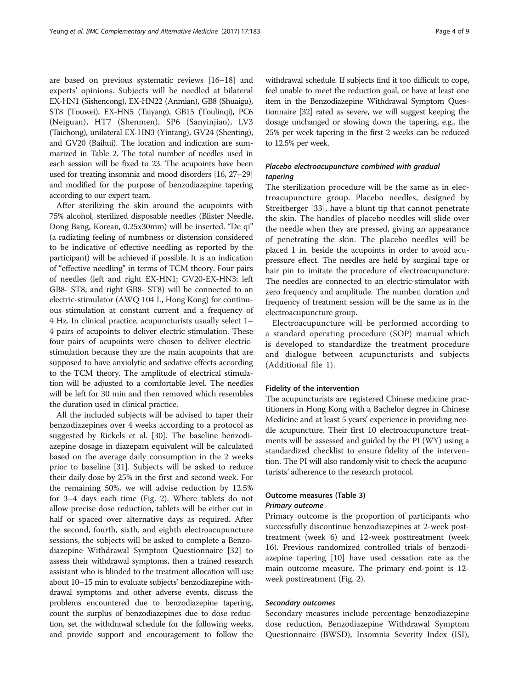are based on previous systematic reviews [\[16](#page-8-0)–[18](#page-8-0)] and experts' opinions. Subjects will be needled at bilateral EX-HN1 (Sishencong), EX-HN22 (Anmian), GB8 (Shuaigu), ST8 (Touwei), EX-HN5 (Taiyang), GB15 (Toulinqi), PC6 (Neiguan), HT7 (Shenmen), SP6 (Sanyinjiao), LV3 (Taichong), unilateral EX-HN3 (Yintang), GV24 (Shenting), and GV20 (Baihui). The location and indication are summarized in Table [2.](#page-4-0) The total number of needles used in each session will be fixed to 23. The acupoints have been used for treating insomnia and mood disorders [\[16, 27](#page-8-0)–[29](#page-8-0)] and modified for the purpose of benzodiazepine tapering according to our expert team.

After sterilizing the skin around the acupoints with 75% alcohol, sterilized disposable needles (Blister Needle, Dong Bang, Korean, 0.25x30mm) will be inserted. "De qi" (a radiating feeling of numbness or distension considered to be indicative of effective needling as reported by the participant) will be achieved if possible. It is an indication of "effective needling" in terms of TCM theory. Four pairs of needles (left and right EX-HN1; GV20-EX-HN3; left GB8- ST8; and right GB8- ST8) will be connected to an electric-stimulator (AWQ 104 L, Hong Kong) for continuous stimulation at constant current and a frequency of 4 Hz. In clinical practice, acupuncturists usually select 1– 4 pairs of acupoints to deliver electric stimulation. These four pairs of acupoints were chosen to deliver electricstimulation because they are the main acupoints that are supposed to have anxiolytic and sedative effects according to the TCM theory. The amplitude of electrical stimulation will be adjusted to a comfortable level. The needles will be left for 30 min and then removed which resembles the duration used in clinical practice.

All the included subjects will be advised to taper their benzodiazepines over 4 weeks according to a protocol as suggested by Rickels et al. [\[30\]](#page-8-0). The baseline benzodiazepine dosage in diazepam equivalent will be calculated based on the average daily consumption in the 2 weeks prior to baseline [[31\]](#page-8-0). Subjects will be asked to reduce their daily dose by 25% in the first and second week. For the remaining 50%, we will advise reduction by 12.5% for 3–4 days each time (Fig. [2\)](#page-5-0). Where tablets do not allow precise dose reduction, tablets will be either cut in half or spaced over alternative days as required. After the second, fourth, sixth, and eighth electroacupuncture sessions, the subjects will be asked to complete a Benzodiazepine Withdrawal Symptom Questionnaire [\[32\]](#page-8-0) to assess their withdrawal symptoms, then a trained research assistant who is blinded to the treatment allocation will use about 10–15 min to evaluate subjects' benzodiazepine withdrawal symptoms and other adverse events, discuss the problems encountered due to benzodiazepine tapering, count the surplus of benzodiazepines due to dose reduction, set the withdrawal schedule for the following weeks, and provide support and encouragement to follow the withdrawal schedule. If subjects find it too difficult to cope, feel unable to meet the reduction goal, or have at least one item in the Benzodiazepine Withdrawal Symptom Questionnaire [\[32\]](#page-8-0) rated as severe, we will suggest keeping the dosage unchanged or slowing down the tapering, e.g., the 25% per week tapering in the first 2 weeks can be reduced to 12.5% per week.

#### Placebo electroacupuncture combined with gradual tapering

The sterilization procedure will be the same as in electroacupuncture group. Placebo needles, designed by Streitberger [\[33](#page-8-0)], have a blunt tip that cannot penetrate the skin. The handles of placebo needles will slide over the needle when they are pressed, giving an appearance of penetrating the skin. The placebo needles will be placed 1 in. beside the acupoints in order to avoid acupressure effect. The needles are held by surgical tape or hair pin to imitate the procedure of electroacupuncture. The needles are connected to an electric-stimulator with zero frequency and amplitude. The number, duration and frequency of treatment session will be the same as in the electroacupuncture group.

Electroacupuncture will be performed according to a standard operating procedure (SOP) manual which is developed to standardize the treatment procedure and dialogue between acupuncturists and subjects (Additional file [1](#page-7-0)).

#### Fidelity of the intervention

The acupuncturists are registered Chinese medicine practitioners in Hong Kong with a Bachelor degree in Chinese Medicine and at least 5 years' experience in providing needle acupuncture. Their first 10 electroacupuncture treatments will be assessed and guided by the PI (WY) using a standardized checklist to ensure fidelity of the intervention. The PI will also randomly visit to check the acupuncturists' adherence to the research protocol.

#### Outcome measures (Table [3\)](#page-5-0)

#### Primary outcome

Primary outcome is the proportion of participants who successfully discontinue benzodiazepines at 2-week posttreatment (week 6) and 12-week posttreatment (week 16). Previous randomized controlled trials of benzodiazepine tapering [[10\]](#page-8-0) have used cessation rate as the main outcome measure. The primary end-point is 12 week posttreatment (Fig. 2).

#### Secondary outcomes

Secondary measures include percentage benzodiazepine dose reduction, Benzodiazepine Withdrawal Symptom Questionnaire (BWSD), Insomnia Severity Index (ISI),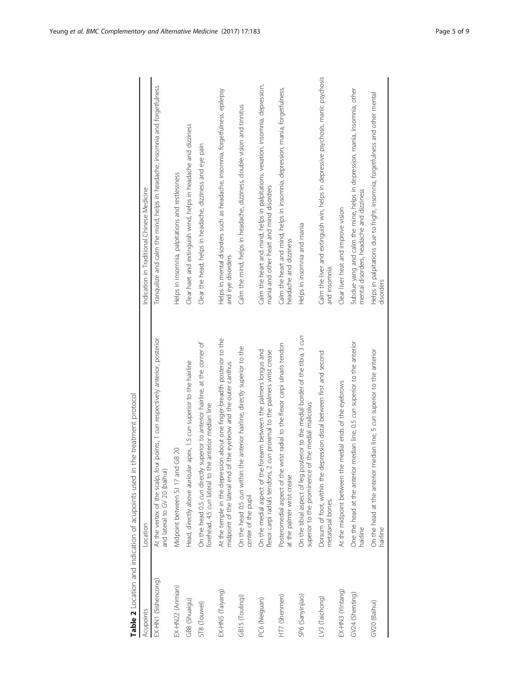<span id="page-4-0"></span>

|                     | the treatment protocol<br>Table 2 Location and indication of acupoints used in                                                                 |                                                                                                                             |
|---------------------|------------------------------------------------------------------------------------------------------------------------------------------------|-----------------------------------------------------------------------------------------------------------------------------|
| Acupoints           | Location                                                                                                                                       | Indication in Traditional Chinese Medicine                                                                                  |
| EX-HN1 (Sishencong) | At the vertex of the scalp, four points, 1 cun respectively anterior, posterior<br>and lateral to GV 20 (baihui)                               | Tranquilize and calm the mind, helps in headache, insomnia and forgetfulness                                                |
| EX-HN22 (Anmian)    | Midpoint between SJ 17 and GB 20                                                                                                               | Helps in insomnia, palpitations and restlessness                                                                            |
| GB8 (Shuaigu)       | apex, 1.5 cun superior to the hairline<br>Head, directly above auricular                                                                       | Clear haet and extinguish wind, helps in headache and dizziness                                                             |
| ST8 (Touwei)        | On the head 0.5 cun directly superior to anterior hairline, at the corner of<br>forehead, 4.5 cun lateral to the anterior median line          | Clear the head, helps in headache, dizziness and eye pain                                                                   |
| EX-HN5 (Taiyang)    | At the temple in the depression about one finger-breadth posterior to the<br>midpoint of the lateral end of the eyebrow and the outer canthus  | Helps in mental disorders such as headache, insomnia, forgetfulness, epilepsy<br>and eye disorders                          |
| GB15 (Toulinqi)     | On the head 0.5 cun within the anterior hairline, directly superior to the<br>center of the pupil                                              | Calm the mind, helps in headache, dizziness, double vision and tinnitus                                                     |
| PC6 (Neiguan)       | On the medial aspect of the forearm between the palmers longus and<br>flexor carpi radials tendons, 2 cun proximal to the palmers wrist crease | Calm the heart and mind, helps in palpitations, vexation, insomnia, depression,<br>mania and other heart and mind disorders |
| HT7 (Shenmen)       | Posteromedial aspect of the wrist radial to the flexor carpi ulnaris tendon<br>at the palmer wrist crease                                      | Calm the heart and mind, helps in insomnia, depression, mania, forgetfulness,<br>headache and dizziness                     |
| SP6 (Sanyinjiao)    | On the tibial aspect of leg posterior to the medial border of the tibia, 3 cun<br>superior to the prominence of the medial mallcolus           | Helps in insomnia and mania                                                                                                 |
| LV3 (Taichong)      | Dorsum of foot, within the depression distal between first and second<br>metatarsal bones.                                                     | Calm the liver and extinguish win, helps in depressive psychosis, manic psychosis<br>and insomnia.                          |
| EX-HN3 (Yintang)    | At the midpoint between the medial ends of the eyebrows                                                                                        | Clear liver heat and improve vision                                                                                         |
| GV24 (Shenting)     | One the head at the anterior median line, 0.5 cun superior to the anterior<br>hairline                                                         | Subdue yang and calm the mine, helps in depression, mania, insomnia, other<br>mental disorders, headache and dizziness      |
| GV20 (Baihui)       | On the head at the anterior median line, 5 cun superior to the anterior<br>hairline                                                            | Helps in palpitations due to fright, insomnia, forgetfulness and other mental<br>disorders                                  |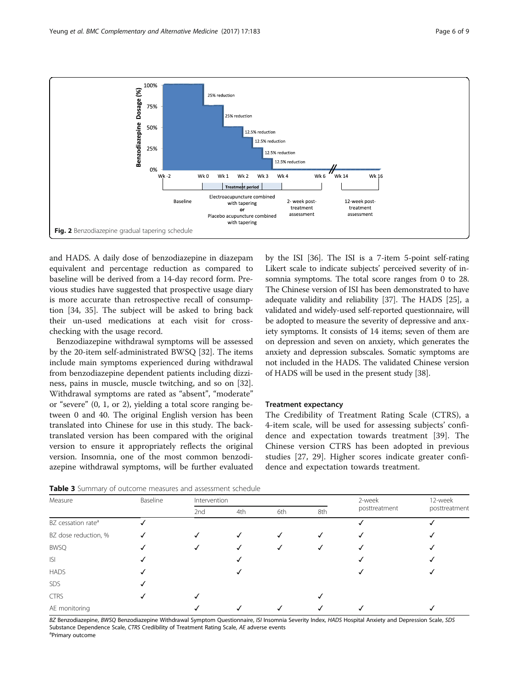<span id="page-5-0"></span>

and HADS. A daily dose of benzodiazepine in diazepam equivalent and percentage reduction as compared to baseline will be derived from a 14-day record form. Previous studies have suggested that prospective usage diary is more accurate than retrospective recall of consumption [[34, 35](#page-8-0)]. The subject will be asked to bring back their un-used medications at each visit for crosschecking with the usage record.

Benzodiazepine withdrawal symptoms will be assessed by the 20-item self-administrated BWSQ [\[32\]](#page-8-0). The items include main symptoms experienced during withdrawal from benzodiazepine dependent patients including dizziness, pains in muscle, muscle twitching, and so on [\[32](#page-8-0)]. Withdrawal symptoms are rated as "absent", "moderate" or "severe" (0, 1, or 2), yielding a total score ranging between 0 and 40. The original English version has been translated into Chinese for use in this study. The backtranslated version has been compared with the original version to ensure it appropriately reflects the original version. Insomnia, one of the most common benzodiazepine withdrawal symptoms, will be further evaluated by the ISI [[36](#page-8-0)]. The ISI is a 7-item 5-point self-rating Likert scale to indicate subjects' perceived severity of insomnia symptoms. The total score ranges from 0 to 28. The Chinese version of ISI has been demonstrated to have adequate validity and reliability [[37](#page-8-0)]. The HADS [\[25\]](#page-8-0), a validated and widely-used self-reported questionnaire, will be adopted to measure the severity of depressive and anxiety symptoms. It consists of 14 items; seven of them are on depression and seven on anxiety, which generates the anxiety and depression subscales. Somatic symptoms are not included in the HADS. The validated Chinese version of HADS will be used in the present study [\[38\]](#page-8-0).

#### Treatment expectancy

The Credibility of Treatment Rating Scale (CTRS), a 4-item scale, will be used for assessing subjects' confidence and expectation towards treatment [\[39\]](#page-8-0). The Chinese version CTRS has been adopted in previous studies [[27, 29\]](#page-8-0). Higher scores indicate greater confidence and expectation towards treatment.

|  |  |  | <b>Table 3</b> Summary of outcome measures and assessment schedule |  |  |
|--|--|--|--------------------------------------------------------------------|--|--|
|--|--|--|--------------------------------------------------------------------|--|--|

| Measure                        | Baseline | Intervention |     |     |     | 2-week        | 12-week       |
|--------------------------------|----------|--------------|-----|-----|-----|---------------|---------------|
|                                |          | 2nd          | 4th | 6th | 8th | posttreatment | posttreatment |
| BZ cessation rate <sup>a</sup> |          |              |     |     |     |               |               |
| BZ dose reduction, %           |          |              |     |     |     |               |               |
| <b>BWSQ</b>                    |          |              |     |     |     |               |               |
| S                              |          |              |     |     |     |               |               |
| <b>HADS</b>                    |          |              |     |     |     |               |               |
| SDS                            |          |              |     |     |     |               |               |
| <b>CTRS</b>                    |          |              |     |     |     |               |               |
| AE monitoring                  |          |              |     |     |     |               |               |

BZ Benzodiazepine, BWSQ Benzodiazepine Withdrawal Symptom Questionnaire, ISI Insomnia Severity Index, HADS Hospital Anxiety and Depression Scale, SDS Substance Dependence Scale, CTRS Credibility of Treatment Rating Scale, AE adverse events <sup>a</sup>Primary outcome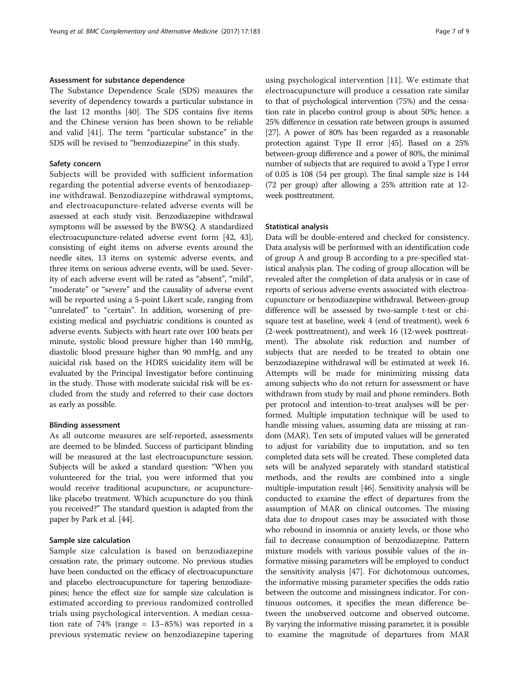#### Assessment for substance dependence

The Substance Dependence Scale (SDS) measures the severity of dependency towards a particular substance in the last 12 months [[40\]](#page-8-0). The SDS contains five items and the Chinese version has been shown to be reliable and valid [[41\]](#page-8-0). The term "particular substance" in the SDS will be revised to "benzodiazepine" in this study.

#### Safety concern

Subjects will be provided with sufficient information regarding the potential adverse events of benzodiazepine withdrawal. Benzodiazepine withdrawal symptoms, and electroacupuncture-related adverse events will be assessed at each study visit. Benzodiazepine withdrawal symptoms will be assessed by the BWSQ. A standardized electroacupuncture-related adverse event form [[42](#page-8-0), [43](#page-8-0)], consisting of eight items on adverse events around the needle sites, 13 items on systemic adverse events, and three items on serious adverse events, will be used. Severity of each adverse event will be rated as "absent", "mild", "moderate" or "severe" and the causality of adverse event will be reported using a 5-point Likert scale, ranging from "unrelated" to "certain". In addition, worsening of preexisting medical and psychiatric conditions is counted as adverse events. Subjects with heart rate over 100 beats per minute, systolic blood pressure higher than 140 mmHg, diastolic blood pressure higher than 90 mmHg, and any suicidal risk based on the HDRS suicidality item will be evaluated by the Principal Investigator before continuing in the study. Those with moderate suicidal risk will be excluded from the study and referred to their case doctors as early as possible.

#### Blinding assessment

As all outcome measures are self-reported, assessments are deemed to be blinded. Success of participant blinding will be measured at the last electroacupuncture session. Subjects will be asked a standard question: "When you volunteered for the trial, you were informed that you would receive traditional acupuncture, or acupuncturelike placebo treatment. Which acupuncture do you think you received?" The standard question is adapted from the paper by Park et al. [\[44\]](#page-8-0).

#### Sample size calculation

Sample size calculation is based on benzodiazepine cessation rate, the primary outcome. No previous studies have been conducted on the efficacy of electroacupuncture and placebo electroacupuncture for tapering benzodiazepines; hence the effect size for sample size calculation is estimated according to previous randomized controlled trials using psychological intervention. A median cessation rate of 74% (range = 13–85%) was reported in a previous systematic review on benzodiazepine tapering

using psychological intervention [\[11](#page-8-0)]. We estimate that electroacupuncture will produce a cessation rate similar to that of psychological intervention (75%) and the cessation rate in placebo control group is about 50%; hence. a 25% difference in cessation rate between groups is assumed [[27](#page-8-0)]. A power of 80% has been regarded as a reasonable protection against Type II error [\[45\]](#page-8-0). Based on a 25% between-group difference and a power of 80%, the minimal number of subjects that are required to avoid a Type I error of 0.05 is 108 (54 per group). The final sample size is 144 (72 per group) after allowing a 25% attrition rate at 12 week posttreatment.

#### Statistical analysis

Data will be double-entered and checked for consistency. Data analysis will be performed with an identification code of group A and group B according to a pre-specified statistical analysis plan. The coding of group allocation will be revealed after the completion of data analysis or in case of reports of serious adverse events associated with electroacupuncture or benzodiazepine withdrawal. Between-group difference will be assessed by two-sample t-test or chisquare test at baseline, week 4 (end of treatment), week 6 (2-week posttreatment), and week 16 (12-week posttreatment). The absolute risk reduction and number of subjects that are needed to be treated to obtain one benzodiazepine withdrawal will be estimated at week 16. Attempts will be made for minimizing missing data among subjects who do not return for assessment or have withdrawn from study by mail and phone reminders. Both per protocol and intention-to-treat analyses will be performed. Multiple imputation technique will be used to handle missing values, assuming data are missing at random (MAR). Ten sets of imputed values will be generated to adjust for variability due to imputation, and so ten completed data sets will be created. These completed data sets will be analyzed separately with standard statistical methods, and the results are combined into a single multiple-imputation result [\[46\]](#page-8-0). Sensitivity analysis will be conducted to examine the effect of departures from the assumption of MAR on clinical outcomes. The missing data due to dropout cases may be associated with those who rebound in insomnia or anxiety levels, or those who fail to decrease consumption of benzodiazepine. Pattern mixture models with various possible values of the informative missing parameters will be employed to conduct the sensitivity analysis [[47](#page-8-0)]. For dichotomous outcomes, the informative missing parameter specifies the odds ratio between the outcome and missingness indicator. For continuous outcomes, it specifies the mean difference between the unobserved outcome and observed outcome. By varying the informative missing parameter, it is possible to examine the magnitude of departures from MAR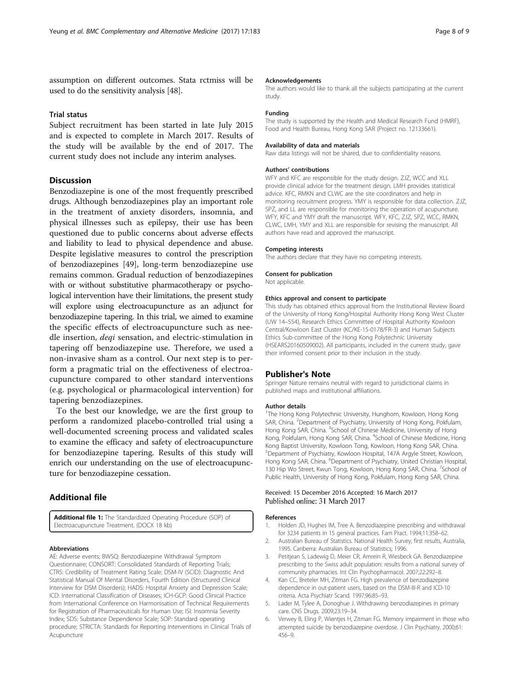<span id="page-7-0"></span>assumption on different outcomes. Stata rctmiss will be used to do the sensitivity analysis [[48](#page-8-0)].

#### Trial status

Subject recruitment has been started in late July 2015 and is expected to complete in March 2017. Results of the study will be available by the end of 2017. The current study does not include any interim analyses.

#### **Discussion**

Benzodiazepine is one of the most frequently prescribed drugs. Although benzodiazepines play an important role in the treatment of anxiety disorders, insomnia, and physical illnesses such as epilepsy, their use has been questioned due to public concerns about adverse effects and liability to lead to physical dependence and abuse. Despite legislative measures to control the prescription of benzodiazepines [\[49\]](#page-8-0), long-term benzodiazepine use remains common. Gradual reduction of benzodiazepines with or without substitutive pharmacotherapy or psychological intervention have their limitations, the present study will explore using electroacupuncture as an adjunct for benzodiazepine tapering. In this trial, we aimed to examine the specific effects of electroacupuncture such as needle insertion, deqi sensation, and electric-stimulation in tapering off benzodiazepine use. Therefore, we used a non-invasive sham as a control. Our next step is to perform a pragmatic trial on the effectiveness of electroacupuncture compared to other standard interventions (e.g. psychological or pharmacological intervention) for tapering benzodiazepines.

To the best our knowledge, we are the first group to perform a randomized placebo-controlled trial using a well-documented screening process and validated scales to examine the efficacy and safety of electroacupuncture for benzodiazepine tapering. Results of this study will enrich our understanding on the use of electroacupuncture for benzodiazepine cessation.

#### Additional file

[Additional file 1:](dx.doi.org/10.1186/s12906-017-1692-5) The Standardized Operating Procedure (SOP) of Electroacupuncture Treatment. (DOCX 18 kb)

#### Abbreviations

AE: Adverse events; BWSQ: Benzodiazepine Withdrawal Symptom Questionnaire; CONSORT: Consolidated Standards of Reporting Trials; CTRS: Credibility of Treatment Rating Scale; DSM-IV (SCID): Diagnostic And Statistical Manual Of Mental Disorders, Fourth Edition (Structured Clinical Interview for DSM Disorders); HADS: Hospital Anxiety and Depression Scale; ICD: International Classification of Diseases; ICH-GCP: Good Clinical Practice from International Conference on Harmonisation of Technical Requirements for Registration of Pharmaceuticals for Human Use; ISI: Insomnia Severity Index; SDS: Substance Dependence Scale; SOP: Standard operating procedure; STRICTA: Standards for Reporting Interventions in Clinical Trials of Acupuncture

#### Acknowledgements

The authors would like to thank all the subjects participating at the current study.

#### Funding

The study is supported by the Health and Medical Research Fund (HMRF), Food and Health Bureau, Hong Kong SAR (Project no. 12133661).

#### Availability of data and materials

Raw data listings will not be shared, due to confidentiality reasons.

#### Authors' contributions

WFY and KFC are responsible for the study design. ZJZ, WCC and XLL provide clinical advice for the treatment design. LMH provides statistical advice. KFC, RMKN and CLWC are the site coordinators and help in monitoring recruitment progress. YMY is responsible for data collection. ZJZ, SPZ, and LL are responsible for monitoring the operation of acupuncture. WFY, KFC and YMY draft the manuscript. WFY, KFC, ZJZ, SPZ, WCC, RMKN, CLWC, LMH, YMY and XLL are responsible for revising the manuscript. All authors have read and approved the manuscript.

#### Competing interests

The authors declare that they have no competing interests.

Consent for publication

Not applicable.

#### Ethics approval and consent to participate

This study has obtained ethics approval from the Institutional Review Board of the University of Hong Kong/Hospital Authority Hong Kong West Cluster (UW 14–554), Research Ethics Committee of Hospital Authority Kowloon Central/Kowloon East Cluster (KC/KE-15-0178/FR-3) and Human Subjects Ethics Sub-committee of the Hong Kong Polytechnic University (HSEARS20160509002). All participants, included in the current study, gave their informed consent prior to their inclusion in the study.

#### Publisher's Note

Springer Nature remains neutral with regard to jurisdictional claims in published maps and institutional affiliations.

#### Author details

<sup>1</sup>The Hong Kong Polytechnic University, Hunghom, Kowloon, Hong Kong SAR, China. <sup>2</sup>Department of Psychiatry, University of Hong Kong, Pokfulam, Hong Kong SAR, China. <sup>3</sup>School of Chinese Medicine, University of Hong Kong, Pokfulam, Hong Kong SAR, China. <sup>4</sup>School of Chinese Medicine, Hong Kong Baptist University, Kowloon Tong, Kowloon, Hong Kong SAR, China. 5 Department of Psychiatry, Kowloon Hospital, 147A Argyle Street, Kowloon, Hong Kong SAR, China. <sup>6</sup>Department of Psychiatry, United Christian Hospital, 130 Hip Wo Street, Kwun Tong, Kowloon, Hong Kong SAR, China. <sup>7</sup>School of Public Health, University of Hong Kong, Pokfulam, Hong Kong SAR, China.

#### Received: 15 December 2016 Accepted: 16 March 2017 Published online: 31 March 2017

#### References

- 1. Holden JD, Hughes IM, Tree A. Benzodiazepine prescribing and withdrawal for 3234 patients in 15 general practices. Fam Pract. 1994;11:358–62.
- 2. Australian Bureau of Statistics. National Health Survey, first results, Australia, 1995. Canberra: Australian Bureau of Statistics; 1996.
- 3. Petitjean S, Ladewig D, Meier CR, Amrein R, Wiesbeck GA. Benzodiazepine prescribing to the Swiss adult population: results from a national survey of community pharmacies. Int Clin Psychopharmacol. 2007;22:292–8.
- 4. Kan CC, Breteler MH, Zitman FG. High prevalence of benzodiazepine dependence in out-patient users, based on the DSM-III-R and ICD-10 criteria. Acta Psychiatr Scand. 1997;96:85–93.
- 5. Lader M, Tylee A, Donoghue J. Withdrawing benzodiazepines in primary care. CNS Drugs. 2009;23:19–34.
- Verwey B, Eling P, Wientjes H, Zitman FG. Memory impairment in those who attempted suicide by benzodiazepine overdose. J Clin Psychiatry. 2000;61: 456–9.